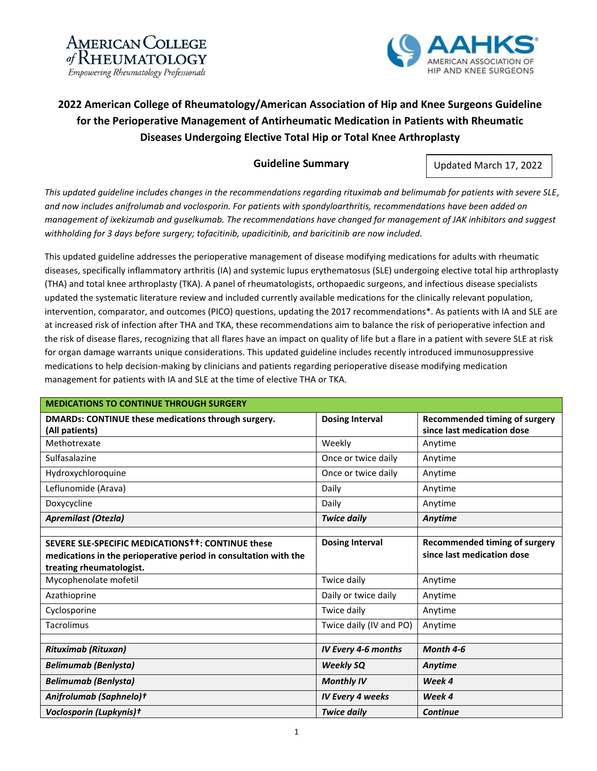



## **2022 American College of Rheumatology/American Association of Hip and Knee Surgeons Guideline for the Perioperative Management of Antirheumatic Medication in Patients with Rheumatic Diseases Undergoing Elective Total Hip or Total Knee Arthroplasty**

## **Guideline Summary**

Updated March 17, 2022

*This updated guideline includes changes in the recommendations regarding rituximab and belimumab for patients with severe SLE, and now includes anifrolumab and voclosporin. For patients with spondyloarthritis, recommendations have been added on management of ixekizumab and guselkumab. The recommendations have changed for management of JAK inhibitors and suggest withholding for 3 days before surgery; tofacitinib, upadicitinib, and baricitinib are now included.*

This updated guideline addresses the perioperative management of disease modifying medications for adults with rheumatic diseases, specifically inflammatory arthritis (IA) and systemic lupus erythematosus (SLE) undergoing elective total hip arthroplasty (THA) and total knee arthroplasty (TKA). A panel of rheumatologists, orthopaedic surgeons, and infectious disease specialists updated the systematic literature review and included currently available medications for the clinically relevant population, intervention, comparator, and outcomes (PICO) questions, updating the 2017 recommendations\*. As patients with IA and SLE are at increased risk of infection after THA and TKA, these recommendations aim to balance the risk of perioperative infection and the risk of disease flares, recognizing that all flares have an impact on quality of life but a flare in a patient with severe SLE at risk for organ damage warrants unique considerations. This updated guideline includes recently introduced immunosuppressive medications to help decision-making by clinicians and patients regarding perioperative disease modifying medication management for patients with IA and SLE at the time of elective THA or TKA.

| <b>MEDICATIONS TO CONTINUE THROUGH SURGERY</b>                        |                         |                                                                    |  |
|-----------------------------------------------------------------------|-------------------------|--------------------------------------------------------------------|--|
| DMARDs: CONTINUE these medications through surgery.<br>(All patients) | <b>Dosing Interval</b>  | <b>Recommended timing of surgery</b><br>since last medication dose |  |
| Methotrexate                                                          | Weekly                  | Anytime                                                            |  |
| Sulfasalazine                                                         | Once or twice daily     | Anytime                                                            |  |
| Hydroxychloroquine                                                    | Once or twice daily     | Anytime                                                            |  |
| Leflunomide (Arava)                                                   | Daily                   | Anytime                                                            |  |
| Doxycycline                                                           | Daily                   | Anytime                                                            |  |
| <b>Apremilast (Otezla)</b>                                            | <b>Twice daily</b>      | Anytime                                                            |  |
|                                                                       |                         |                                                                    |  |
| SEVERE SLE-SPECIFIC MEDICATIONS <sup>++</sup> : CONTINUE these        | <b>Dosing Interval</b>  | <b>Recommended timing of surgery</b>                               |  |
| medications in the perioperative period in consultation with the      |                         | since last medication dose                                         |  |
| treating rheumatologist.                                              |                         |                                                                    |  |
| Mycophenolate mofetil                                                 | Twice daily             | Anytime                                                            |  |
| Azathioprine                                                          | Daily or twice daily    | Anytime                                                            |  |
| Cyclosporine                                                          | Twice daily             | Anytime                                                            |  |
| <b>Tacrolimus</b>                                                     | Twice daily (IV and PO) | Anytime                                                            |  |
|                                                                       |                         |                                                                    |  |
| <b>Rituximab (Rituxan)</b>                                            | IV Every 4-6 months     | Month 4-6                                                          |  |
| <b>Belimumab (Benlysta)</b>                                           | <b>Weekly SQ</b>        | Anytime                                                            |  |
| <b>Belimumab (Benlysta)</b>                                           | <b>Monthly IV</b>       | Week 4                                                             |  |
| Anifrolumab (Saphnelo)t                                               | <b>IV Every 4 weeks</b> | Week 4                                                             |  |
| Voclosporin (Lupkynis)+                                               | <b>Twice daily</b>      | <b>Continue</b>                                                    |  |